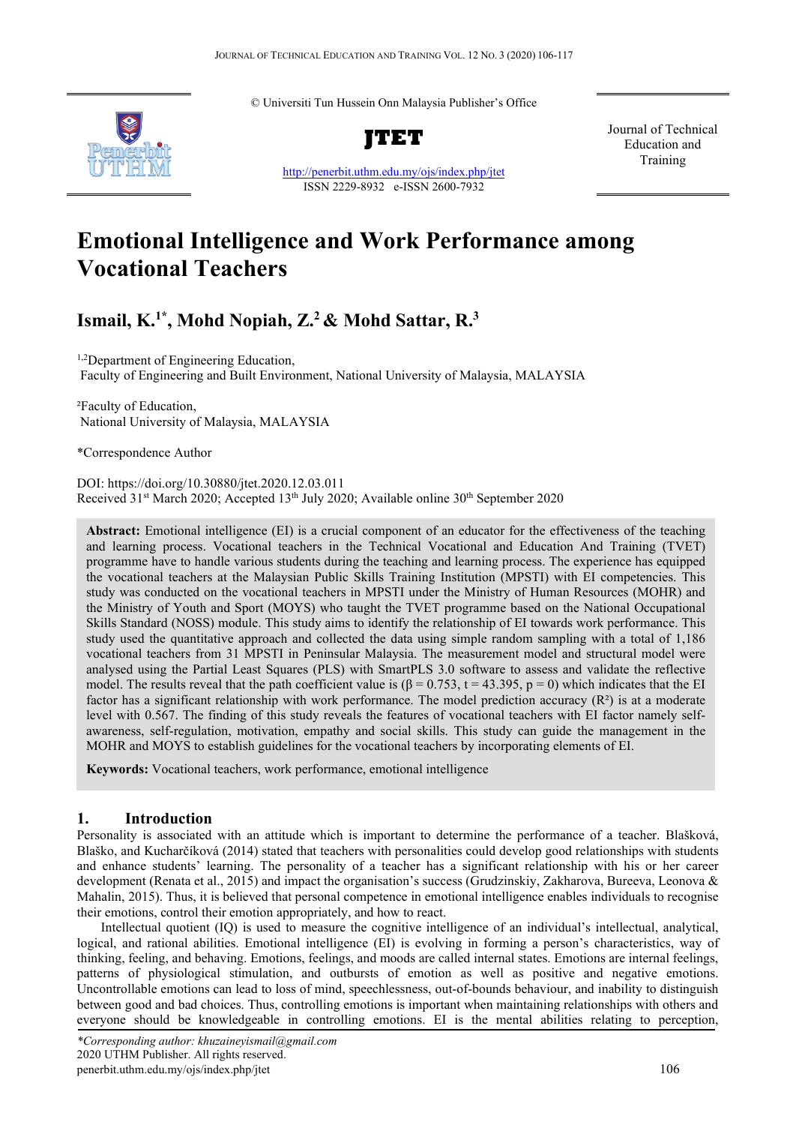© Universiti Tun Hussein Onn Malaysia Publisher's Office



**JTET**

<http://penerbit.uthm.edu.my/ojs/index.php/jtet> ISSN 2229-8932 e-ISSN 2600-7932

Journal of Technical Education and Training

# **Emotional Intelligence and Work Performance among Vocational Teachers**

# **Ismail, K.1\* , Mohd Nopiah, Z.2 & Mohd Sattar, R.3**

1,2 Department of Engineering Education, Faculty of Engineering and Built Environment, National University of Malaysia, MALAYSIA

²Faculty of Education, National University of Malaysia, MALAYSIA

\*Correspondence Author

DOI: https://doi.org/10.30880/jtet.2020.12.03.011 Received 31<sup>st</sup> March 2020; Accepted 13<sup>th</sup> July 2020; Available online 30<sup>th</sup> September 2020

**Abstract:** Emotional intelligence (EI) is a crucial component of an educator for the effectiveness of the teaching and learning process. Vocational teachers in the Technical Vocational and Education And Training (TVET) programme have to handle various students during the teaching and learning process. The experience has equipped the vocational teachers at the Malaysian Public Skills Training Institution (MPSTI) with EI competencies. This study was conducted on the vocational teachers in MPSTI under the Ministry of Human Resources (MOHR) and the Ministry of Youth and Sport (MOYS) who taught the TVET programme based on the National Occupational Skills Standard (NOSS) module. This study aims to identify the relationship of EI towards work performance. This study used the quantitative approach and collected the data using simple random sampling with a total of 1,186 vocational teachers from 31 MPSTI in Peninsular Malaysia. The measurement model and structural model were analysed using the Partial Least Squares (PLS) with SmartPLS 3.0 software to assess and validate the reflective model. The results reveal that the path coefficient value is  $(\beta = 0.753, t = 43.395, p = 0)$  which indicates that the EI factor has a significant relationship with work performance. The model prediction accuracy  $(R^2)$  is at a moderate level with 0.567. The finding of this study reveals the features of vocational teachers with EI factor namely selfawareness, self-regulation, motivation, empathy and social skills. This study can guide the management in the MOHR and MOYS to establish guidelines for the vocational teachers by incorporating elements of EI.

**Keywords:** Vocational teachers, work performance, emotional intelligence

### **1. Introduction**

Personality is associated with an attitude which is important to determine the performance of a teacher. Blašková, Blaško, and Kucharčíková (2014) stated that teachers with personalities could develop good relationships with students and enhance students' learning. The personality of a teacher has a significant relationship with his or her career development (Renata et al., 2015) and impact the organisation's success (Grudzinskiy, Zakharova, Bureeva, Leonova & Mahalin, 2015). Thus, it is believed that personal competence in emotional intelligence enables individuals to recognise their emotions, control their emotion appropriately, and how to react.

Intellectual quotient (IQ) is used to measure the cognitive intelligence of an individual's intellectual, analytical, logical, and rational abilities. Emotional intelligence (EI) is evolving in forming a person's characteristics, way of thinking, feeling, and behaving. Emotions, feelings, and moods are called internal states. Emotions are internal feelings, patterns of physiological stimulation, and outbursts of emotion as well as positive and negative emotions. Uncontrollable emotions can lead to loss of mind, speechlessness, out-of-bounds behaviour, and inability to distinguish between good and bad choices. Thus, controlling emotions is important when maintaining relationships with others and everyone should be knowledgeable in controlling emotions. EI is the mental abilities relating to perception,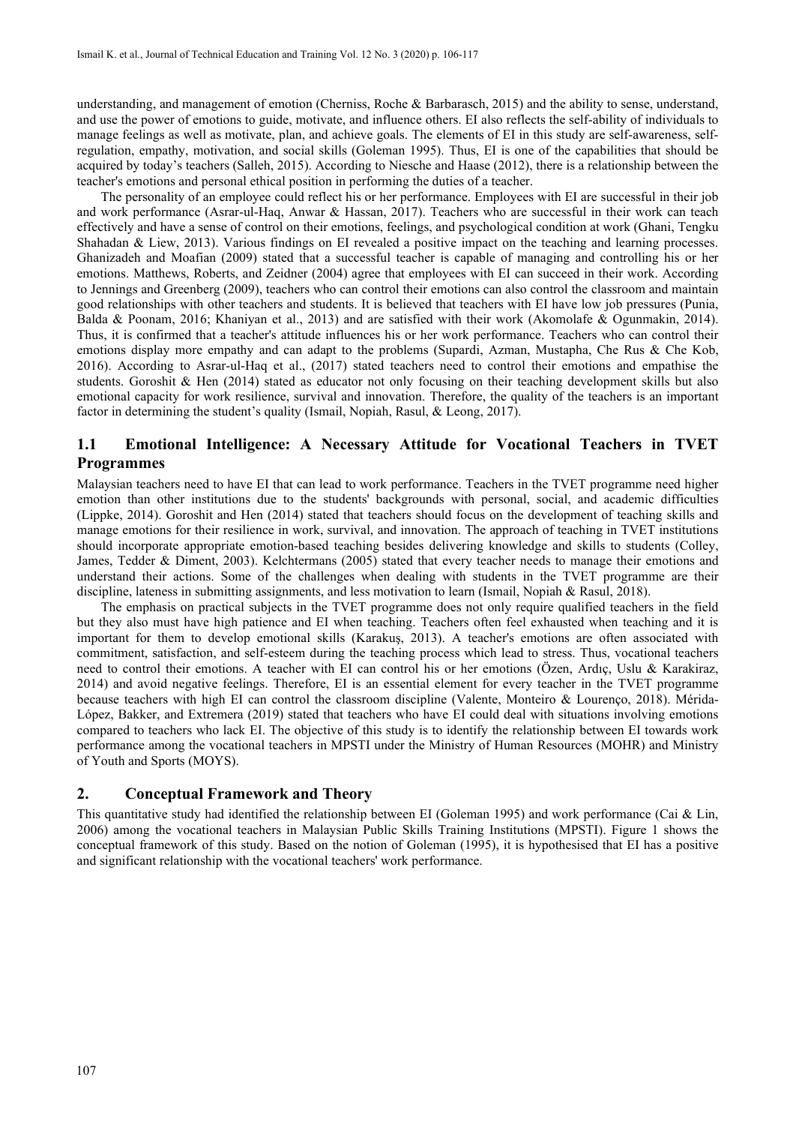understanding, and management of emotion (Cherniss, Roche & Barbarasch, 2015) and the ability to sense, understand, and use the power of emotions to guide, motivate, and influence others. EI also reflects the self-ability of individuals to manage feelings as well as motivate, plan, and achieve goals. The elements of EI in this study are self-awareness, selfregulation, empathy, motivation, and social skills (Goleman 1995). Thus, EI is one of the capabilities that should be acquired by today's teachers (Salleh, 2015). According to Niesche and Haase (2012), there is a relationship between the teacher's emotions and personal ethical position in performing the duties of a teacher.

The personality of an employee could reflect his or her performance. Employees with EI are successful in their job and work performance (Asrar-ul-Haq, Anwar & Hassan, 2017). Teachers who are successful in their work can teach effectively and have a sense of control on their emotions, feelings, and psychological condition at work (Ghani, Tengku Shahadan & Liew, 2013). Various findings on EI revealed a positive impact on the teaching and learning processes. Ghanizadeh and Moafian (2009) stated that a successful teacher is capable of managing and controlling his or her emotions. Matthews, Roberts, and Zeidner (2004) agree that employees with EI can succeed in their work. According to Jennings and Greenberg (2009), teachers who can control their emotions can also control the classroom and maintain good relationships with other teachers and students. It is believed that teachers with EI have low job pressures (Punia, Balda & Poonam, 2016; Khaniyan et al., 2013) and are satisfied with their work (Akomolafe & Ogunmakin, 2014). Thus, it is confirmed that a teacher's attitude influences his or her work performance. Teachers who can control their emotions display more empathy and can adapt to the problems (Supardi, Azman, Mustapha, Che Rus & Che Kob, 2016). According to Asrar-ul-Haq et al., (2017) stated teachers need to control their emotions and empathise the students. Goroshit & Hen (2014) stated as educator not only focusing on their teaching development skills but also emotional capacity for work resilience, survival and innovation. Therefore, the quality of the teachers is an important factor in determining the student's quality (Ismail, Nopiah, Rasul, & Leong, 2017).

## **1.1 Emotional Intelligence: A Necessary Attitude for Vocational Teachers in TVET Programmes**

Malaysian teachers need to have EI that can lead to work performance. Teachers in the TVET programme need higher emotion than other institutions due to the students' backgrounds with personal, social, and academic difficulties (Lippke, 2014). Goroshit and Hen (2014) stated that teachers should focus on the development of teaching skills and manage emotions for their resilience in work, survival, and innovation. The approach of teaching in TVET institutions should incorporate appropriate emotion-based teaching besides delivering knowledge and skills to students (Colley, James, Tedder & Diment, 2003). Kelchtermans (2005) stated that every teacher needs to manage their emotions and understand their actions. Some of the challenges when dealing with students in the TVET programme are their discipline, lateness in submitting assignments, and less motivation to learn (Ismail, Nopiah & Rasul, 2018).

The emphasis on practical subjects in the TVET programme does not only require qualified teachers in the field but they also must have high patience and EI when teaching. Teachers often feel exhausted when teaching and it is important for them to develop emotional skills (Karakuş, 2013). A teacher's emotions are often associated with commitment, satisfaction, and self-esteem during the teaching process which lead to stress. Thus, vocational teachers need to control their emotions. A teacher with EI can control his or her emotions (Özen, Ardıç, Uslu & Karakiraz, 2014) and avoid negative feelings. Therefore, EI is an essential element for every teacher in the TVET programme because teachers with high EI can control the classroom discipline (Valente, Monteiro & Lourenço, 2018). Mérida-López, Bakker, and Extremera (2019) stated that teachers who have EI could deal with situations involving emotions compared to teachers who lack EI. The objective of this study is to identify the relationship between EI towards work performance among the vocational teachers in MPSTI under the Ministry of Human Resources (MOHR) and Ministry of Youth and Sports (MOYS).

#### **2. Conceptual Framework and Theory**

This quantitative study had identified the relationship between EI (Goleman 1995) and work performance (Cai  $\&$  Lin, 2006) among the vocational teachers in Malaysian Public Skills Training Institutions (MPSTI). Figure 1 shows the conceptual framework of this study. Based on the notion of Goleman (1995), it is hypothesised that EI has a positive and significant relationship with the vocational teachers' work performance.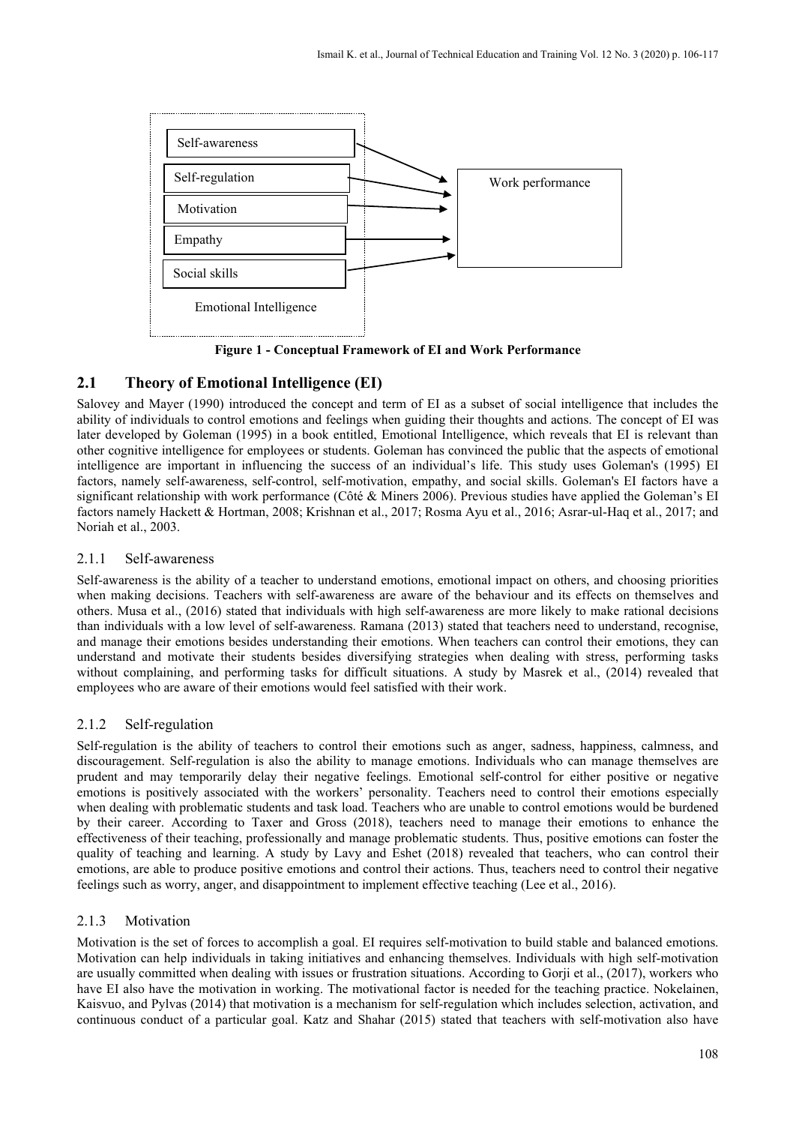

**Figure 1 - Conceptual Framework of EI and Work Performance**

# **2.1 Theory of Emotional Intelligence (EI)**

Salovey and Mayer (1990) introduced the concept and term of EI as a subset of social intelligence that includes the ability of individuals to control emotions and feelings when guiding their thoughts and actions. The concept of EI was later developed by Goleman (1995) in a book entitled, Emotional Intelligence, which reveals that EI is relevant than other cognitive intelligence for employees or students. Goleman has convinced the public that the aspects of emotional intelligence are important in influencing the success of an individual's life. This study uses Goleman's (1995) EI factors, namely self-awareness, self-control, self-motivation, empathy, and social skills. Goleman's EI factors have a significant relationship with work performance (Côté & Miners 2006). Previous studies have applied the Goleman's EI factors namely Hackett & Hortman, 2008; Krishnan et al., 2017; Rosma Ayu et al., 2016; Asrar-ul-Haq et al., 2017; and Noriah et al., 2003.

#### 2.1.1 Self-awareness

Self-awareness is the ability of a teacher to understand emotions, emotional impact on others, and choosing priorities when making decisions. Teachers with self-awareness are aware of the behaviour and its effects on themselves and others. Musa et al., (2016) stated that individuals with high self-awareness are more likely to make rational decisions than individuals with a low level of self-awareness. Ramana (2013) stated that teachers need to understand, recognise, and manage their emotions besides understanding their emotions. When teachers can control their emotions, they can understand and motivate their students besides diversifying strategies when dealing with stress, performing tasks without complaining, and performing tasks for difficult situations. A study by Masrek et al., (2014) revealed that employees who are aware of their emotions would feel satisfied with their work.

### 2.1.2 Self-regulation

Self-regulation is the ability of teachers to control their emotions such as anger, sadness, happiness, calmness, and discouragement. Self-regulation is also the ability to manage emotions. Individuals who can manage themselves are prudent and may temporarily delay their negative feelings. Emotional self-control for either positive or negative emotions is positively associated with the workers' personality. Teachers need to control their emotions especially when dealing with problematic students and task load. Teachers who are unable to control emotions would be burdened by their career. According to Taxer and Gross (2018), teachers need to manage their emotions to enhance the effectiveness of their teaching, professionally and manage problematic students. Thus, positive emotions can foster the quality of teaching and learning. A study by Lavy and Eshet (2018) revealed that teachers, who can control their emotions, are able to produce positive emotions and control their actions. Thus, teachers need to control their negative feelings such as worry, anger, and disappointment to implement effective teaching (Lee et al., 2016).

### 2.1.3 Motivation

Motivation is the set of forces to accomplish a goal. EI requires self-motivation to build stable and balanced emotions. Motivation can help individuals in taking initiatives and enhancing themselves. Individuals with high self-motivation are usually committed when dealing with issues or frustration situations. According to Gorji et al., (2017), workers who have EI also have the motivation in working. The motivational factor is needed for the teaching practice. Nokelainen, Kaisvuo, and Pylvas (2014) that motivation is a mechanism for self-regulation which includes selection, activation, and continuous conduct of a particular goal. Katz and Shahar (2015) stated that teachers with self-motivation also have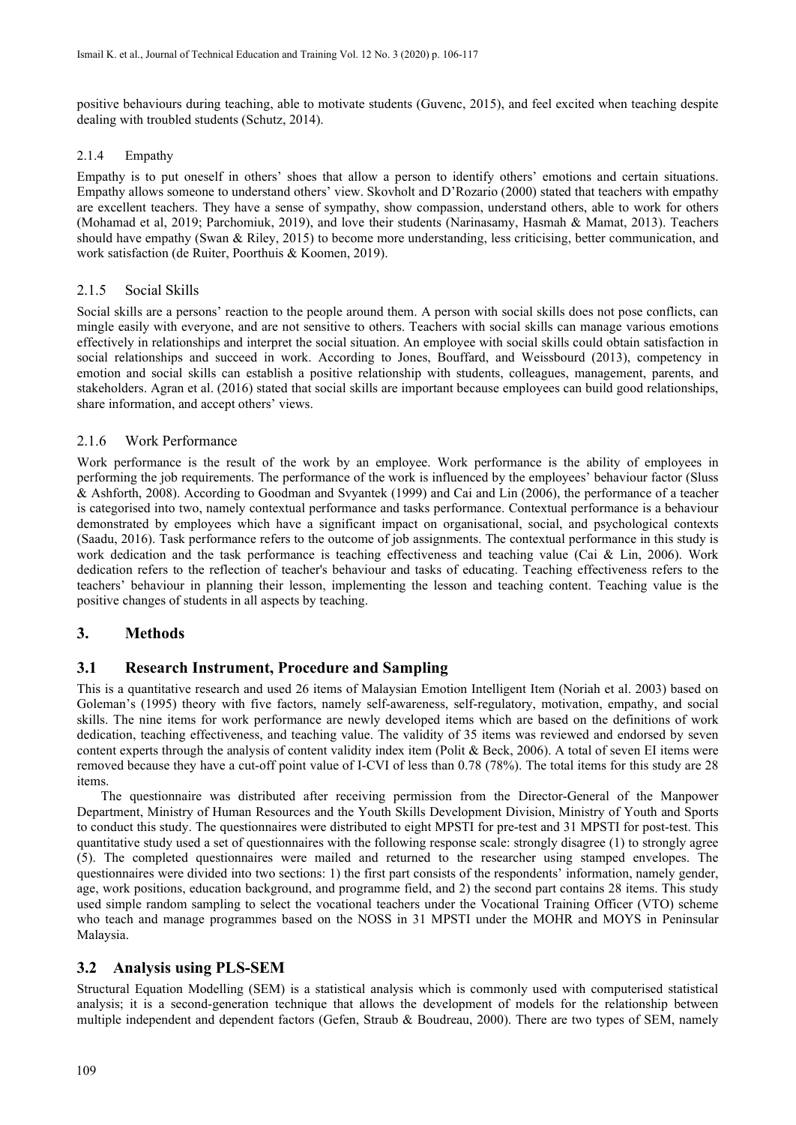positive behaviours during teaching, able to motivate students (Guvenc, 2015), and feel excited when teaching despite dealing with troubled students (Schutz, 2014).

#### 2.1.4 Empathy

Empathy is to put oneself in others' shoes that allow a person to identify others' emotions and certain situations. Empathy allows someone to understand others' view. Skovholt and D'Rozario (2000) stated that teachers with empathy are excellent teachers. They have a sense of sympathy, show compassion, understand others, able to work for others (Mohamad et al, 2019; Parchomiuk, 2019), and love their students (Narinasamy, Hasmah & Mamat, 2013). Teachers should have empathy (Swan & Riley, 2015) to become more understanding, less criticising, better communication, and work satisfaction (de Ruiter, Poorthuis & Koomen, 2019).

### 2.1.5 Social Skills

Social skills are a persons' reaction to the people around them. A person with social skills does not pose conflicts, can mingle easily with everyone, and are not sensitive to others. Teachers with social skills can manage various emotions effectively in relationships and interpret the social situation. An employee with social skills could obtain satisfaction in social relationships and succeed in work. According to Jones, Bouffard, and Weissbourd (2013), competency in emotion and social skills can establish a positive relationship with students, colleagues, management, parents, and stakeholders. Agran et al. (2016) stated that social skills are important because employees can build good relationships, share information, and accept others' views.

#### 2.1.6 Work Performance

Work performance is the result of the work by an employee. Work performance is the ability of employees in performing the job requirements. The performance of the work is influenced by the employees' behaviour factor (Sluss & Ashforth, 2008). According to Goodman and Svyantek (1999) and Cai and Lin (2006), the performance of a teacher is categorised into two, namely contextual performance and tasks performance. Contextual performance is a behaviour demonstrated by employees which have a significant impact on organisational, social, and psychological contexts (Saadu, 2016). Task performance refers to the outcome of job assignments. The contextual performance in this study is work dedication and the task performance is teaching effectiveness and teaching value (Cai & Lin, 2006). Work dedication refers to the reflection of teacher's behaviour and tasks of educating. Teaching effectiveness refers to the teachers' behaviour in planning their lesson, implementing the lesson and teaching content. Teaching value is the positive changes of students in all aspects by teaching.

### **3. Methods**

### **3.1 Research Instrument, Procedure and Sampling**

This is a quantitative research and used 26 items of Malaysian Emotion Intelligent Item (Noriah et al. 2003) based on Goleman's (1995) theory with five factors, namely self-awareness, self-regulatory, motivation, empathy, and social skills. The nine items for work performance are newly developed items which are based on the definitions of work dedication, teaching effectiveness, and teaching value. The validity of 35 items was reviewed and endorsed by seven content experts through the analysis of content validity index item (Polit & Beck, 2006). A total of seven EI items were removed because they have a cut-off point value of I-CVI of less than 0.78 (78%). The total items for this study are 28 items.

The questionnaire was distributed after receiving permission from the Director-General of the Manpower Department, Ministry of Human Resources and the Youth Skills Development Division, Ministry of Youth and Sports to conduct this study. The questionnaires were distributed to eight MPSTI for pre-test and 31 MPSTI for post-test. This quantitative study used a set of questionnaires with the following response scale: strongly disagree (1) to strongly agree (5). The completed questionnaires were mailed and returned to the researcher using stamped envelopes. The questionnaires were divided into two sections: 1) the first part consists of the respondents' information, namely gender, age, work positions, education background, and programme field, and 2) the second part contains 28 items. This study used simple random sampling to select the vocational teachers under the Vocational Training Officer (VTO) scheme who teach and manage programmes based on the NOSS in 31 MPSTI under the MOHR and MOYS in Peninsular Malaysia.

### **3.2 Analysis using PLS-SEM**

Structural Equation Modelling (SEM) is a statistical analysis which is commonly used with computerised statistical analysis; it is a second-generation technique that allows the development of models for the relationship between multiple independent and dependent factors (Gefen, Straub & Boudreau, 2000). There are two types of SEM, namely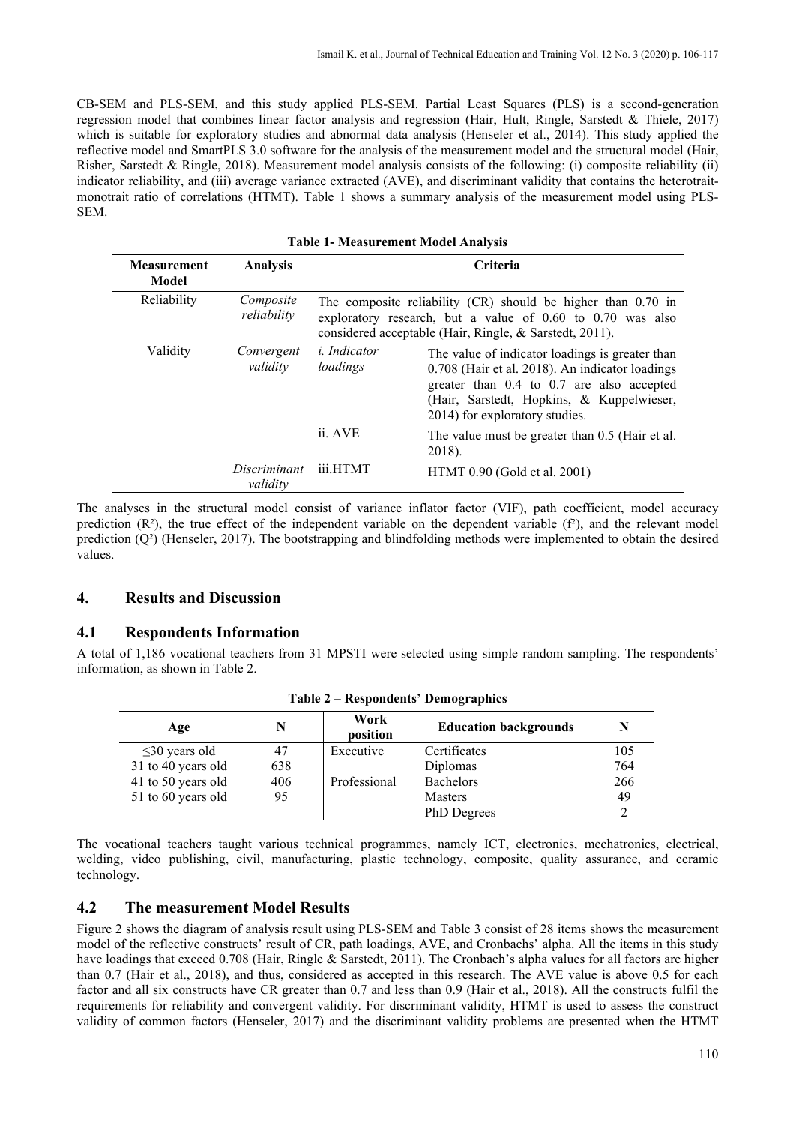CB-SEM and PLS-SEM, and this study applied PLS-SEM. Partial Least Squares (PLS) is a second-generation regression model that combines linear factor analysis and regression (Hair, Hult, Ringle, Sarstedt & Thiele, 2017) which is suitable for exploratory studies and abnormal data analysis (Henseler et al., 2014). This study applied the reflective model and SmartPLS 3.0 software for the analysis of the measurement model and the structural model (Hair, Risher, Sarstedt & Ringle, 2018). Measurement model analysis consists of the following: (i) composite reliability (ii) indicator reliability, and (iii) average variance extracted (AVE), and discriminant validity that contains the heterotraitmonotrait ratio of correlations (HTMT). Table 1 shows a summary analysis of the measurement model using PLS-SEM.

| <b>Measurement</b><br>Model | <b>Analysis</b>          | <b>Criteria</b>                 |                                                                                                                                                                                                                                |  |  |
|-----------------------------|--------------------------|---------------------------------|--------------------------------------------------------------------------------------------------------------------------------------------------------------------------------------------------------------------------------|--|--|
| Reliability                 | Composite<br>reliability |                                 | The composite reliability (CR) should be higher than 0.70 in<br>exploratory research, but a value of 0.60 to 0.70 was also<br>considered acceptable (Hair, Ringle, & Sarstedt, 2011).                                          |  |  |
| Validity                    | Convergent<br>validity   | <i>i. Indicator</i><br>loadings | The value of indicator loadings is greater than<br>0.708 (Hair et al. 2018). An indicator loadings<br>greater than 0.4 to 0.7 are also accepted<br>(Hair, Sarstedt, Hopkins, & Kuppelwieser,<br>2014) for exploratory studies. |  |  |
|                             |                          | ii. AVE                         | The value must be greater than 0.5 (Hair et al.<br>2018).                                                                                                                                                                      |  |  |
|                             | Discriminant<br>validity | iii.HTMT                        | HTMT 0.90 (Gold et al. 2001)                                                                                                                                                                                                   |  |  |

The analyses in the structural model consist of variance inflator factor (VIF), path coefficient, model accuracy prediction  $(R<sup>2</sup>)$ , the true effect of the independent variable on the dependent variable  $(f<sup>2</sup>)$ , and the relevant model prediction (Q²) (Henseler, 2017). The bootstrapping and blindfolding methods were implemented to obtain the desired values.

### **4. Results and Discussion**

### **4.1 Respondents Information**

A total of 1,186 vocational teachers from 31 MPSTI were selected using simple random sampling. The respondents' information, as shown in Table 2.

| Age                 |     | Work<br>position | <b>Education backgrounds</b> |     |
|---------------------|-----|------------------|------------------------------|-----|
| $\leq$ 30 years old |     | Executive        | Certificates                 | 105 |
| 31 to 40 years old  | 638 |                  | Diplomas                     | 764 |
| 41 to 50 years old  | 406 | Professional     | <b>Bachelors</b>             | 266 |
| 51 to 60 years old  | 95  |                  | <b>Masters</b>               | 49  |
|                     |     |                  | PhD Degrees                  |     |

**Table 2 – Respondents' Demographics**

The vocational teachers taught various technical programmes, namely ICT, electronics, mechatronics, electrical, welding, video publishing, civil, manufacturing, plastic technology, composite, quality assurance, and ceramic technology.

### **4.2 The measurement Model Results**

Figure 2 shows the diagram of analysis result using PLS-SEM and Table 3 consist of 28 items shows the measurement model of the reflective constructs' result of CR, path loadings, AVE, and Cronbachs' alpha. All the items in this study have loadings that exceed 0.708 (Hair, Ringle & Sarstedt, 2011). The Cronbach's alpha values for all factors are higher than 0.7 (Hair et al., 2018), and thus, considered as accepted in this research. The AVE value is above 0.5 for each factor and all six constructs have CR greater than 0.7 and less than 0.9 (Hair et al., 2018). All the constructs fulfil the requirements for reliability and convergent validity. For discriminant validity, HTMT is used to assess the construct validity of common factors (Henseler, 2017) and the discriminant validity problems are presented when the HTMT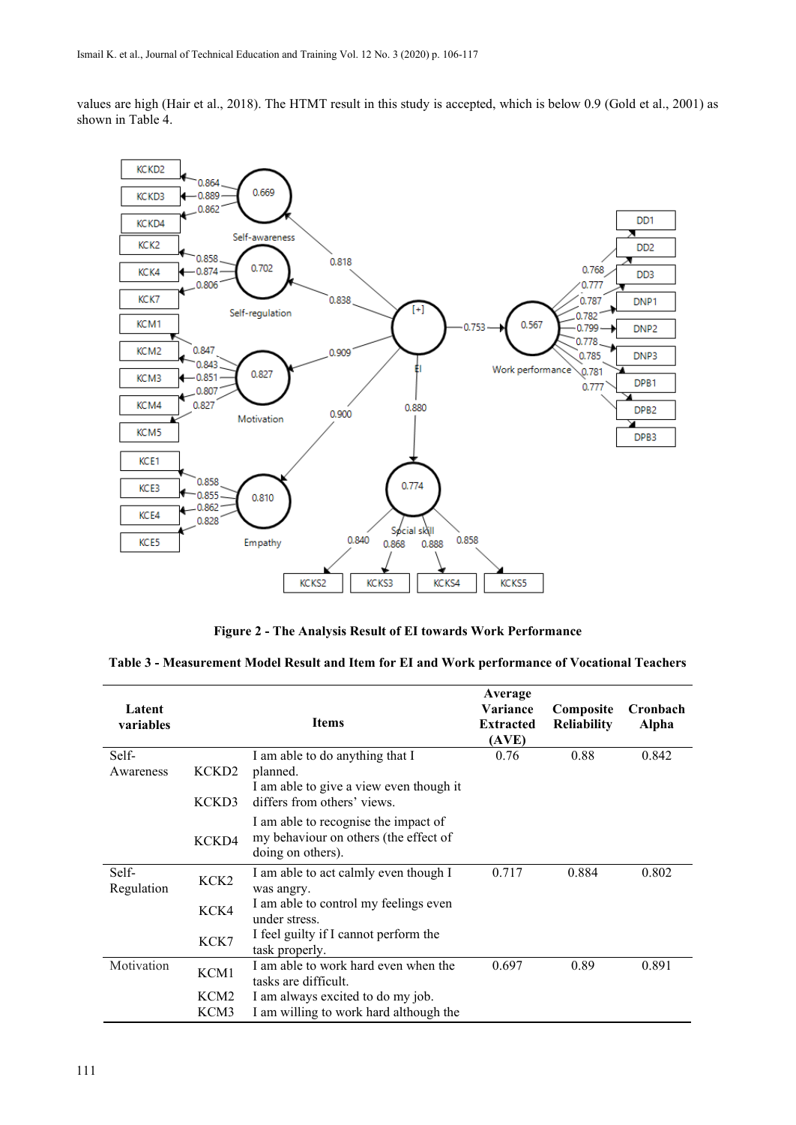values are high (Hair et al., 2018). The HTMT result in this study is accepted, which is below 0.9 (Gold et al., 2001) as shown in Table 4.



**Figure 2 - The Analysis Result of EI towards Work Performance**

| Table 3 - Measurement Model Result and Item for EI and Work performance of Vocational Teachers |  |
|------------------------------------------------------------------------------------------------|--|
|------------------------------------------------------------------------------------------------|--|

| Latent<br>variables |                   | <b>Items</b>                                                                                       | Average<br>Variance<br><b>Extracted</b><br>(AVE) | Composite<br><b>Reliability</b> | Cronbach<br>Alpha |
|---------------------|-------------------|----------------------------------------------------------------------------------------------------|--------------------------------------------------|---------------------------------|-------------------|
| Self-               |                   | I am able to do anything that I                                                                    | 0.76                                             | 0.88                            | 0.842             |
| Awareness           | KCKD <sub>2</sub> | planned.                                                                                           |                                                  |                                 |                   |
|                     | KCKD3             | I am able to give a view even though it<br>differs from others' views.                             |                                                  |                                 |                   |
|                     | KCKD4             | I am able to recognise the impact of<br>my behaviour on others (the effect of<br>doing on others). |                                                  |                                 |                   |
| Self-<br>Regulation | KCK <sub>2</sub>  | I am able to act calmly even though I<br>was angry.                                                | 0.717                                            | 0.884                           | 0.802             |
|                     | KCK4              | I am able to control my feelings even<br>under stress.                                             |                                                  |                                 |                   |
|                     | KCK7              | I feel guilty if I cannot perform the<br>task properly.                                            |                                                  |                                 |                   |
| Motivation          | KCM1              | I am able to work hard even when the<br>tasks are difficult.                                       | 0.697                                            | 0.89                            | 0.891             |
|                     | KCM <sub>2</sub>  | I am always excited to do my job.                                                                  |                                                  |                                 |                   |
|                     | KCM3              | I am willing to work hard although the                                                             |                                                  |                                 |                   |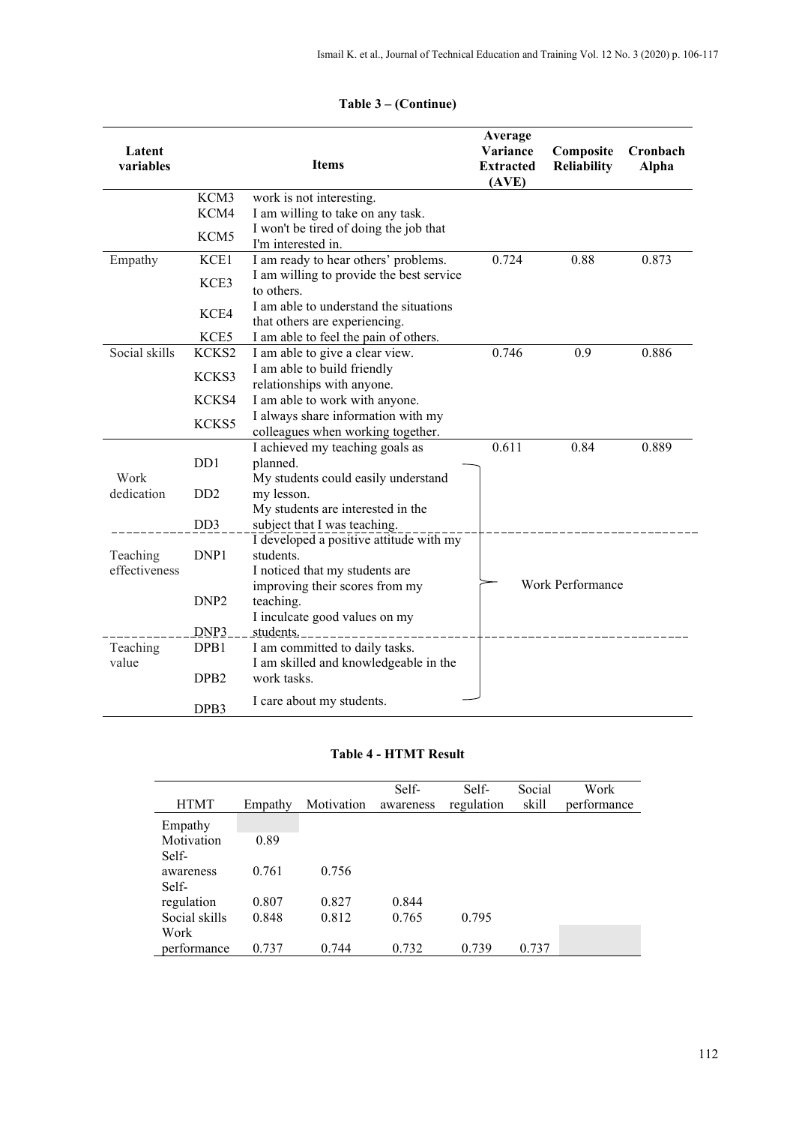| Latent<br>variables |                             | <b>Items</b>                                                            | Average<br>Variance<br><b>Extracted</b><br>(AVE) | Composite<br>Reliability | Cronbach<br>Alpha |  |  |
|---------------------|-----------------------------|-------------------------------------------------------------------------|--------------------------------------------------|--------------------------|-------------------|--|--|
|                     | KCM3                        | work is not interesting.                                                |                                                  |                          |                   |  |  |
|                     | KCM4                        | I am willing to take on any task.                                       |                                                  |                          |                   |  |  |
|                     | KCM5                        | I won't be tired of doing the job that<br>I'm interested in.            |                                                  |                          |                   |  |  |
| Empathy             | KCE1                        | I am ready to hear others' problems.                                    | 0.724                                            | 0.88                     | 0.873             |  |  |
|                     | KCE3                        | I am willing to provide the best service<br>to others.                  |                                                  |                          |                   |  |  |
|                     | KCE4                        | I am able to understand the situations<br>that others are experiencing. |                                                  |                          |                   |  |  |
|                     | KCE5                        | I am able to feel the pain of others.                                   |                                                  |                          |                   |  |  |
| Social skills       | KCKS2                       | I am able to give a clear view.                                         | 0.746                                            | 0.9                      | 0.886             |  |  |
|                     | KCKS3                       | I am able to build friendly                                             |                                                  |                          |                   |  |  |
|                     |                             | relationships with anyone.                                              |                                                  |                          |                   |  |  |
|                     | KCKS4                       | I am able to work with anyone.                                          |                                                  |                          |                   |  |  |
|                     | KCKS5                       | I always share information with my<br>colleagues when working together. |                                                  |                          |                   |  |  |
|                     |                             | I achieved my teaching goals as                                         | 0.611                                            | 0.84                     | 0.889             |  |  |
|                     | D <sub>D</sub> 1            | planned.                                                                |                                                  |                          |                   |  |  |
| Work                |                             | My students could easily understand                                     |                                                  |                          |                   |  |  |
| dedication          | D <sub>D</sub> <sub>2</sub> | my lesson.                                                              |                                                  |                          |                   |  |  |
|                     |                             | My students are interested in the                                       |                                                  |                          |                   |  |  |
|                     | DD <sub>3</sub>             | subject that I was teaching.                                            |                                                  |                          |                   |  |  |
|                     |                             | I developed a positive attitude with my                                 |                                                  |                          |                   |  |  |
| Teaching            | DNP1                        | students.                                                               |                                                  |                          |                   |  |  |
| effectiveness       |                             | I noticed that my students are                                          |                                                  |                          |                   |  |  |
|                     |                             | improving their scores from my                                          |                                                  | Work Performance         |                   |  |  |
|                     | DNP <sub>2</sub>            | teaching.                                                               |                                                  |                          |                   |  |  |
|                     |                             | I inculcate good values on my                                           |                                                  |                          |                   |  |  |
|                     | DNP <sub>3</sub>            | students.                                                               |                                                  |                          |                   |  |  |
| Teaching            | DPB1                        | I am committed to daily tasks.                                          |                                                  |                          |                   |  |  |
| value               | DPB <sub>2</sub>            | I am skilled and knowledgeable in the<br>work tasks.                    |                                                  |                          |                   |  |  |
|                     | DPB3                        | I care about my students.                                               |                                                  |                          |                   |  |  |

# **Table 3 – (Continue)**

#### **Table 4 - HTMT Result**

| <b>HTMT</b>   | Empathy | Motivation | Self-<br>awareness | Self-<br>regulation | Social<br>skill | Work<br>performance |
|---------------|---------|------------|--------------------|---------------------|-----------------|---------------------|
| Empathy       |         |            |                    |                     |                 |                     |
| Motivation    | 0.89    |            |                    |                     |                 |                     |
| Self-         |         |            |                    |                     |                 |                     |
| awareness     | 0.761   | 0.756      |                    |                     |                 |                     |
| Self-         |         |            |                    |                     |                 |                     |
| regulation    | 0.807   | 0.827      | 0.844              |                     |                 |                     |
| Social skills | 0.848   | 0.812      | 0.765              | 0.795               |                 |                     |
| Work          |         |            |                    |                     |                 |                     |
| performance   | 0.737   | 0.744      | 0.732              | 0.739               | 0.737           |                     |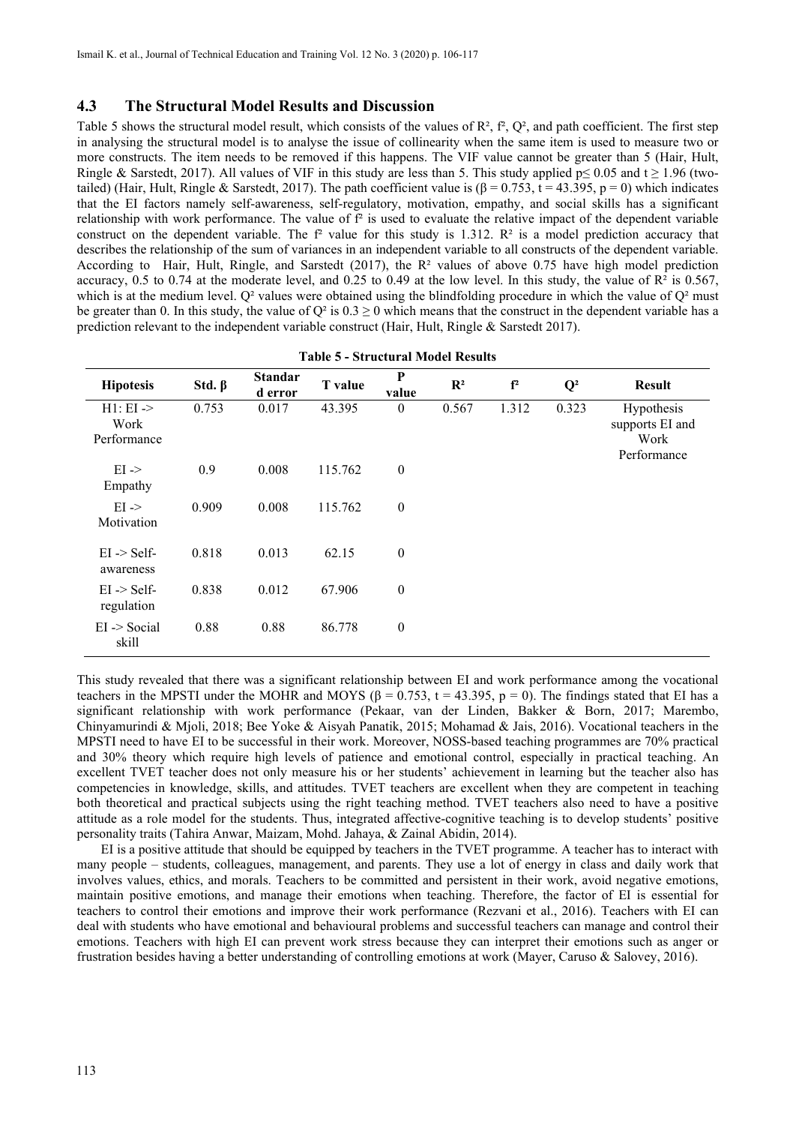### **4.3 The Structural Model Results and Discussion**

Table 5 shows the structural model result, which consists of the values of  $\mathbb{R}^2$ ,  $f^2$ ,  $\mathbb{Q}^2$ , and path coefficient. The first step in analysing the structural model is to analyse the issue of collinearity when the same item is used to measure two or more constructs. The item needs to be removed if this happens. The VIF value cannot be greater than 5 (Hair, Hult, Ringle & Sarstedt, 2017). All values of VIF in this study are less than 5. This study applied p≤ 0.05 and t ≥ 1.96 (twotailed) (Hair, Hult, Ringle & Sarstedt, 2017). The path coefficient value is (β = 0.753, t = 43.395, p = 0) which indicates that the EI factors namely self-awareness, self-regulatory, motivation, empathy, and social skills has a significant relationship with work performance. The value of  $f<sup>2</sup>$  is used to evaluate the relative impact of the dependent variable construct on the dependent variable. The  $f<sup>2</sup>$  value for this study is 1.312.  $R<sup>2</sup>$  is a model prediction accuracy that describes the relationship of the sum of variances in an independent variable to all constructs of the dependent variable. According to Hair, Hult, Ringle, and Sarstedt (2017), the  $R<sup>2</sup>$  values of above 0.75 have high model prediction accuracy, 0.5 to 0.74 at the moderate level, and 0.25 to 0.49 at the low level. In this study, the value of  $\mathbb{R}^2$  is 0.567, which is at the medium level.  $Q^2$  values were obtained using the blindfolding procedure in which the value of  $Q^2$  must be greater than 0. In this study, the value of  $Q^2$  is  $0.3 \ge 0$  which means that the construct in the dependent variable has a prediction relevant to the independent variable construct (Hair, Hult, Ringle & Sarstedt 2017).

| <b>Hipotesis</b>                            | Std. $\beta$ | <b>Standar</b><br>d error | <b>T</b> value | P<br>value       | $\mathbf{R}^2$ | f <sup>2</sup> | $Q^2$ | <b>Result</b>                                        |
|---------------------------------------------|--------------|---------------------------|----------------|------------------|----------------|----------------|-------|------------------------------------------------------|
| $H1: EI \rightarrow$<br>Work<br>Performance | 0.753        | 0.017                     | 43.395         | $\overline{0}$   | 0.567          | 1.312          | 0.323 | Hypothesis<br>supports EI and<br>Work<br>Performance |
| $EI \rightarrow$<br>Empathy                 | 0.9          | 0.008                     | 115.762        | $\boldsymbol{0}$ |                |                |       |                                                      |
| $EI \rightarrow$<br>Motivation              | 0.909        | 0.008                     | 115.762        | $\boldsymbol{0}$ |                |                |       |                                                      |
| $EI$ $\ge$ Self-<br>awareness               | 0.818        | 0.013                     | 62.15          | $\boldsymbol{0}$ |                |                |       |                                                      |
| $EI$ $\geq$ Self-<br>regulation             | 0.838        | 0.012                     | 67.906         | $\boldsymbol{0}$ |                |                |       |                                                      |
| $EI$ $\geq$ Social<br>skill                 | 0.88         | 0.88                      | 86.778         | $\boldsymbol{0}$ |                |                |       |                                                      |

**Table 5 - Structural Model Results**

This study revealed that there was a significant relationship between EI and work performance among the vocational teachers in the MPSTI under the MOHR and MOYS ( $\beta = 0.753$ ,  $t = 43.395$ ,  $p = 0$ ). The findings stated that EI has a significant relationship with work performance (Pekaar, van der Linden, Bakker & Born, 2017; Marembo, Chinyamurindi & Mjoli, 2018; Bee Yoke & Aisyah Panatik, 2015; Mohamad & Jais, 2016). Vocational teachers in the MPSTI need to have EI to be successful in their work. Moreover, NOSS-based teaching programmes are 70% practical and 30% theory which require high levels of patience and emotional control, especially in practical teaching. An excellent TVET teacher does not only measure his or her students' achievement in learning but the teacher also has competencies in knowledge, skills, and attitudes. TVET teachers are excellent when they are competent in teaching both theoretical and practical subjects using the right teaching method. TVET teachers also need to have a positive attitude as a role model for the students. Thus, integrated affective-cognitive teaching is to develop students' positive personality traits (Tahira Anwar, Maizam, Mohd. Jahaya, & Zainal Abidin, 2014).

EI is a positive attitude that should be equipped by teachers in the TVET programme. A teacher has to interact with many people – students, colleagues, management, and parents. They use a lot of energy in class and daily work that involves values, ethics, and morals. Teachers to be committed and persistent in their work, avoid negative emotions, maintain positive emotions, and manage their emotions when teaching. Therefore, the factor of EI is essential for teachers to control their emotions and improve their work performance (Rezvani et al., 2016). Teachers with EI can deal with students who have emotional and behavioural problems and successful teachers can manage and control their emotions. Teachers with high EI can prevent work stress because they can interpret their emotions such as anger or frustration besides having a better understanding of controlling emotions at work (Mayer, Caruso & Salovey, 2016).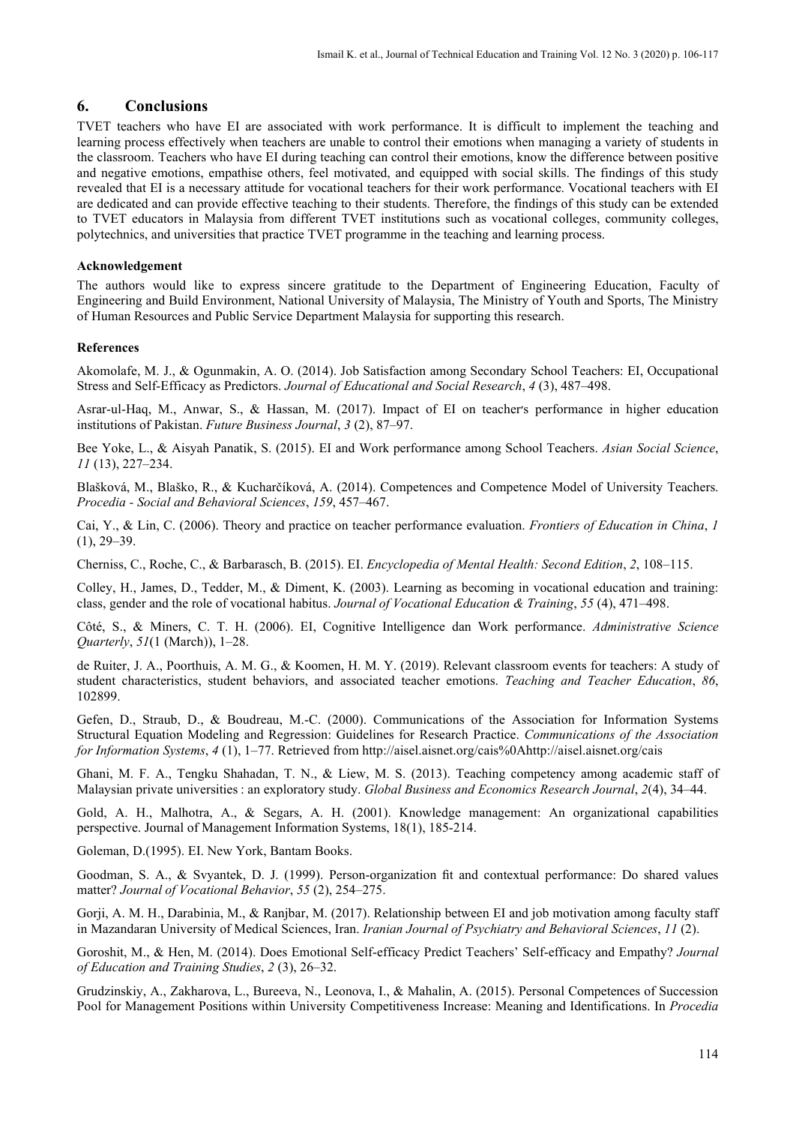### **6. Conclusions**

TVET teachers who have EI are associated with work performance. It is difficult to implement the teaching and learning process effectively when teachers are unable to control their emotions when managing a variety of students in the classroom. Teachers who have EI during teaching can control their emotions, know the difference between positive and negative emotions, empathise others, feel motivated, and equipped with social skills. The findings of this study revealed that EI is a necessary attitude for vocational teachers for their work performance. Vocational teachers with EI are dedicated and can provide effective teaching to their students. Therefore, the findings of this study can be extended to TVET educators in Malaysia from different TVET institutions such as vocational colleges, community colleges, polytechnics, and universities that practice TVET programme in the teaching and learning process.

#### **Acknowledgement**

The authors would like to express sincere gratitude to the Department of Engineering Education, Faculty of Engineering and Build Environment, National University of Malaysia, The Ministry of Youth and Sports, The Ministry of Human Resources and Public Service Department Malaysia for supporting this research.

#### **References**

Akomolafe, M. J., & Ogunmakin, A. O. (2014). Job Satisfaction among Secondary School Teachers: EI, Occupational Stress and Self-Efficacy as Predictors. *Journal of Educational and Social Research*, *4* (3), 487–498.

Asrar-ul-Haq, M., Anwar, S., & Hassan, M. (2017). Impact of EI on teacher׳s performance in higher education institutions of Pakistan. *Future Business Journal*, *3* (2), 87–97.

Bee Yoke, L., & Aisyah Panatik, S. (2015). EI and Work performance among School Teachers. *Asian Social Science*, *11* (13), 227–234.

Blašková, M., Blaško, R., & Kucharčíková, A. (2014). Competences and Competence Model of University Teachers. *Procedia - Social and Behavioral Sciences*, *159*, 457–467.

Cai, Y., & Lin, C. (2006). Theory and practice on teacher performance evaluation. *Frontiers of Education in China*, *1* (1), 29–39.

Cherniss, C., Roche, C., & Barbarasch, B. (2015). EI. *Encyclopedia of Mental Health: Second Edition*, *2*, 108–115.

Colley, H., James, D., Tedder, M., & Diment, K. (2003). Learning as becoming in vocational education and training: class, gender and the role of vocational habitus. *Journal of Vocational Education & Training*, *55* (4), 471–498.

Côté, S., & Miners, C. T. H. (2006). EI, Cognitive Intelligence dan Work performance. *Administrative Science Quarterly*, *51*(1 (March)), 1–28.

de Ruiter, J. A., Poorthuis, A. M. G., & Koomen, H. M. Y. (2019). Relevant classroom events for teachers: A study of student characteristics, student behaviors, and associated teacher emotions. *Teaching and Teacher Education*, *86*, 102899.

Gefen, D., Straub, D., & Boudreau, M.-C. (2000). Communications of the Association for Information Systems Structural Equation Modeling and Regression: Guidelines for Research Practice. *Communications of the Association for Information Systems*, *4* (1), 1–77. Retrieved from http://aisel.aisnet.org/cais%0Ahttp://aisel.aisnet.org/cais

Ghani, M. F. A., Tengku Shahadan, T. N., & Liew, M. S. (2013). Teaching competency among academic staff of Malaysian private universities : an exploratory study. *Global Business and Economics Research Journal*, *2*(4), 34–44.

Gold, A. H., Malhotra, A., & Segars, A. H. (2001). Knowledge management: An organizational capabilities perspective. Journal of Management Information Systems, 18(1), 185-214.

Goleman, D.(1995). EI. New York, Bantam Books.

Goodman, S. A., & Svyantek, D. J. (1999). Person-organization fit and contextual performance: Do shared values matter? *Journal of Vocational Behavior*, *55* (2), 254–275.

Gorji, A. M. H., Darabinia, M., & Ranjbar, M. (2017). Relationship between EI and job motivation among faculty staff in Mazandaran University of Medical Sciences, Iran. *Iranian Journal of Psychiatry and Behavioral Sciences*, *11* (2).

Goroshit, M., & Hen, M. (2014). Does Emotional Self-efficacy Predict Teachers' Self-efficacy and Empathy? *Journal of Education and Training Studies*, *2* (3), 26–32.

Grudzinskiy, A., Zakharova, L., Bureeva, N., Leonova, I., & Mahalin, A. (2015). Personal Competences of Succession Pool for Management Positions within University Competitiveness Increase: Meaning and Identifications. In *Procedia*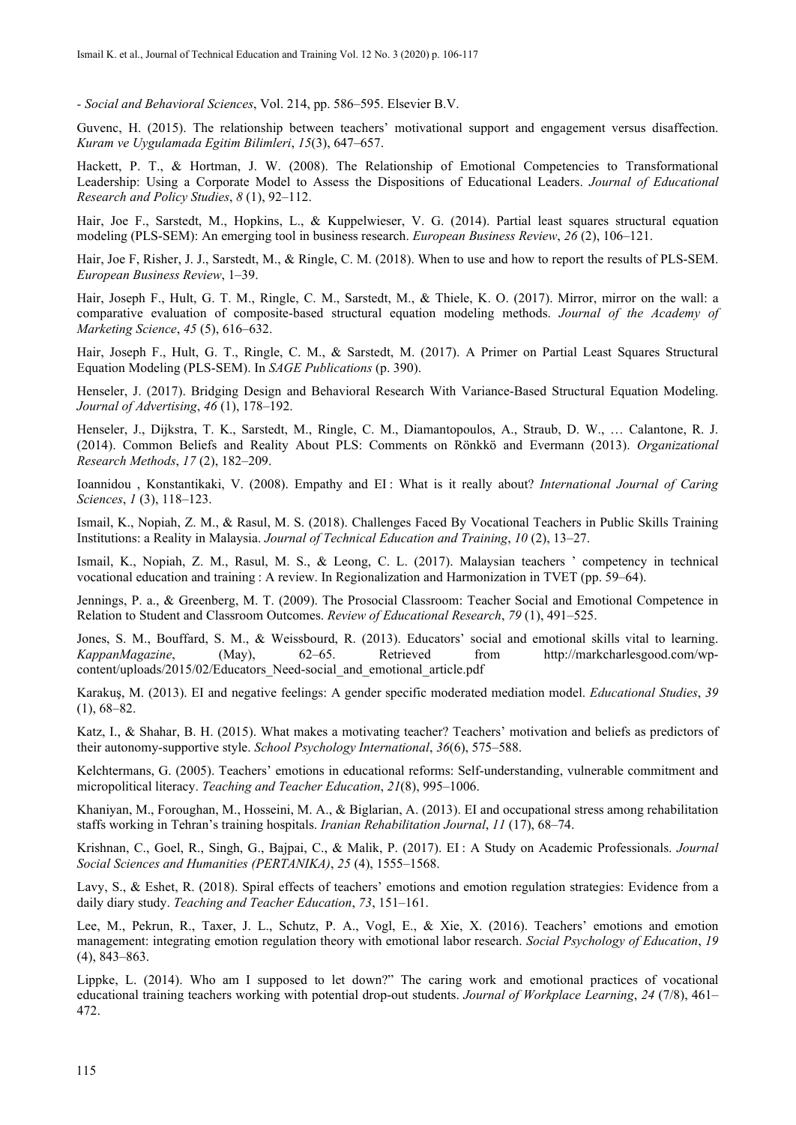*- Social and Behavioral Sciences*, Vol. 214, pp. 586–595. Elsevier B.V.

Guvenc, H. (2015). The relationship between teachers' motivational support and engagement versus disaffection. *Kuram ve Uygulamada Egitim Bilimleri*, *15*(3), 647–657.

Hackett, P. T., & Hortman, J. W. (2008). The Relationship of Emotional Competencies to Transformational Leadership: Using a Corporate Model to Assess the Dispositions of Educational Leaders. *Journal of Educational Research and Policy Studies*, *8* (1), 92–112.

Hair, Joe F., Sarstedt, M., Hopkins, L., & Kuppelwieser, V. G. (2014). Partial least squares structural equation modeling (PLS-SEM): An emerging tool in business research. *European Business Review*, *26* (2), 106–121.

Hair, Joe F, Risher, J. J., Sarstedt, M., & Ringle, C. M. (2018). When to use and how to report the results of PLS-SEM. *European Business Review*, 1–39.

Hair, Joseph F., Hult, G. T. M., Ringle, C. M., Sarstedt, M., & Thiele, K. O. (2017). Mirror, mirror on the wall: a comparative evaluation of composite-based structural equation modeling methods. *Journal of the Academy of Marketing Science*, *45* (5), 616–632.

Hair, Joseph F., Hult, G. T., Ringle, C. M., & Sarstedt, M. (2017). A Primer on Partial Least Squares Structural Equation Modeling (PLS-SEM). In *SAGE Publications* (p. 390).

Henseler, J. (2017). Bridging Design and Behavioral Research With Variance-Based Structural Equation Modeling. *Journal of Advertising*, *46* (1), 178–192.

Henseler, J., Dijkstra, T. K., Sarstedt, M., Ringle, C. M., Diamantopoulos, A., Straub, D. W., … Calantone, R. J. (2014). Common Beliefs and Reality About PLS: Comments on Rönkkö and Evermann (2013). *Organizational Research Methods*, *17* (2), 182–209.

Ioannidou , Konstantikaki, V. (2008). Empathy and EI : What is it really about? *International Journal of Caring Sciences*, *1* (3), 118–123.

Ismail, K., Nopiah, Z. M., & Rasul, M. S. (2018). Challenges Faced By Vocational Teachers in Public Skills Training Institutions: a Reality in Malaysia. *Journal of Technical Education and Training*, *10* (2), 13–27.

Ismail, K., Nopiah, Z. M., Rasul, M. S., & Leong, C. L. (2017). Malaysian teachers ' competency in technical vocational education and training : A review. In Regionalization and Harmonization in TVET (pp. 59–64).

Jennings, P. a., & Greenberg, M. T. (2009). The Prosocial Classroom: Teacher Social and Emotional Competence in Relation to Student and Classroom Outcomes. *Review of Educational Research*, *79* (1), 491–525.

Jones, S. M., Bouffard, S. M., & Weissbourd, R. (2013). Educators' social and emotional skills vital to learning. *KappanMagazine*, (May), 62–65. Retrieved from http://markcharlesgood.com/wpcontent/uploads/2015/02/Educators\_Need-social\_and\_emotional\_article.pdf

Karakuş, M. (2013). EI and negative feelings: A gender specific moderated mediation model. *Educational Studies*, *39* (1), 68–82.

Katz, I., & Shahar, B. H. (2015). What makes a motivating teacher? Teachers' motivation and beliefs as predictors of their autonomy-supportive style. *School Psychology International*, *36*(6), 575–588.

Kelchtermans, G. (2005). Teachers' emotions in educational reforms: Self-understanding, vulnerable commitment and micropolitical literacy. *Teaching and Teacher Education*, *21*(8), 995–1006.

Khaniyan, M., Foroughan, M., Hosseini, M. A., & Biglarian, A. (2013). EI and occupational stress among rehabilitation staffs working in Tehran's training hospitals. *Iranian Rehabilitation Journal*, *11* (17), 68–74.

Krishnan, C., Goel, R., Singh, G., Bajpai, C., & Malik, P. (2017). EI : A Study on Academic Professionals. *Journal Social Sciences and Humanities (PERTANIKA)*, *25* (4), 1555–1568.

Lavy, S., & Eshet, R. (2018). Spiral effects of teachers' emotions and emotion regulation strategies: Evidence from a daily diary study. *Teaching and Teacher Education*, *73*, 151–161.

Lee, M., Pekrun, R., Taxer, J. L., Schutz, P. A., Vogl, E., & Xie, X. (2016). Teachers' emotions and emotion management: integrating emotion regulation theory with emotional labor research. *Social Psychology of Education*, *19* (4), 843–863.

Lippke, L. (2014). Who am I supposed to let down?" The caring work and emotional practices of vocational educational training teachers working with potential drop-out students. *Journal of Workplace Learning*, *24* (7/8), 461– 472.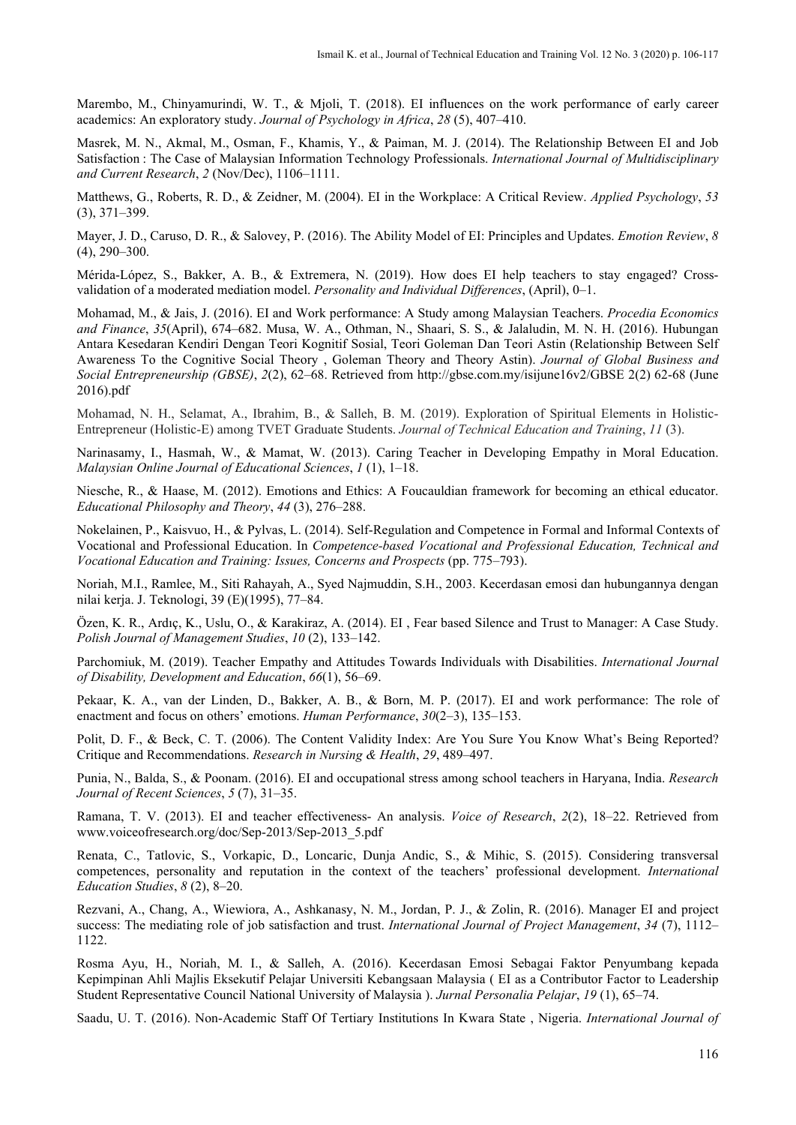Marembo, M., Chinyamurindi, W. T., & Mjoli, T. (2018). EI influences on the work performance of early career academics: An exploratory study. *Journal of Psychology in Africa*, *28* (5), 407–410.

Masrek, M. N., Akmal, M., Osman, F., Khamis, Y., & Paiman, M. J. (2014). The Relationship Between EI and Job Satisfaction : The Case of Malaysian Information Technology Professionals. *International Journal of Multidisciplinary and Current Research*, *2* (Nov/Dec), 1106–1111.

Matthews, G., Roberts, R. D., & Zeidner, M. (2004). EI in the Workplace: A Critical Review. *Applied Psychology*, *53* (3), 371–399.

Mayer, J. D., Caruso, D. R., & Salovey, P. (2016). The Ability Model of EI: Principles and Updates. *Emotion Review*, *8* (4), 290–300.

Mérida-López, S., Bakker, A. B., & Extremera, N. (2019). How does EI help teachers to stay engaged? Crossvalidation of a moderated mediation model. *Personality and Individual Differences*, (April), 0–1.

Mohamad, M., & Jais, J. (2016). EI and Work performance: A Study among Malaysian Teachers. *Procedia Economics and Finance*, *35*(April), 674–682. Musa, W. A., Othman, N., Shaari, S. S., & Jalaludin, M. N. H. (2016). Hubungan Antara Kesedaran Kendiri Dengan Teori Kognitif Sosial, Teori Goleman Dan Teori Astin (Relationship Between Self Awareness To the Cognitive Social Theory , Goleman Theory and Theory Astin). *Journal of Global Business and Social Entrepreneurship (GBSE)*, *2*(2), 62–68. Retrieved from http://gbse.com.my/isijune16v2/GBSE 2(2) 62-68 (June 2016).pdf

Mohamad, N. H., Selamat, A., Ibrahim, B., & Salleh, B. M. (2019). Exploration of Spiritual Elements in Holistic-Entrepreneur (Holistic-E) among TVET Graduate Students. *Journal of Technical Education and Training*, *11* (3).

Narinasamy, I., Hasmah, W., & Mamat, W. (2013). Caring Teacher in Developing Empathy in Moral Education. *Malaysian Online Journal of Educational Sciences*, *1* (1), 1–18.

Niesche, R., & Haase, M. (2012). Emotions and Ethics: A Foucauldian framework for becoming an ethical educator. *Educational Philosophy and Theory*, *44* (3), 276–288.

Nokelainen, P., Kaisvuo, H., & Pylvas, L. (2014). Self-Regulation and Competence in Formal and Informal Contexts of Vocational and Professional Education. In *Competence-based Vocational and Professional Education, Technical and Vocational Education and Training: Issues, Concerns and Prospects* (pp. 775–793).

Noriah, M.I., Ramlee, M., Siti Rahayah, A., Syed Najmuddin, S.H., 2003. Kecerdasan emosi dan hubungannya dengan nilai kerja. J. Teknologi, 39 (E)(1995), 77–84.

Özen, K. R., Ardıç, K., Uslu, O., & Karakiraz, A. (2014). EI , Fear based Silence and Trust to Manager: A Case Study. *Polish Journal of Management Studies*, *10* (2), 133–142.

Parchomiuk, M. (2019). Teacher Empathy and Attitudes Towards Individuals with Disabilities. *International Journal of Disability, Development and Education*, *66*(1), 56–69.

Pekaar, K. A., van der Linden, D., Bakker, A. B., & Born, M. P. (2017). EI and work performance: The role of enactment and focus on others' emotions. *Human Performance*, *30*(2–3), 135–153.

Polit, D. F., & Beck, C. T. (2006). The Content Validity Index: Are You Sure You Know What's Being Reported? Critique and Recommendations. *Research in Nursing & Health*, *29*, 489–497.

Punia, N., Balda, S., & Poonam. (2016). EI and occupational stress among school teachers in Haryana, India. *Research Journal of Recent Sciences*, *5* (7), 31–35.

Ramana, T. V. (2013). EI and teacher effectiveness- An analysis. *Voice of Research*, *2*(2), 18–22. Retrieved from www.voiceofresearch.org/doc/Sep-2013/Sep-2013\_5.pdf

Renata, C., Tatlovic, S., Vorkapic, D., Loncaric, Dunja Andic, S., & Mihic, S. (2015). Considering transversal competences, personality and reputation in the context of the teachers' professional development. *International Education Studies*, *8* (2), 8–20.

Rezvani, A., Chang, A., Wiewiora, A., Ashkanasy, N. M., Jordan, P. J., & Zolin, R. (2016). Manager EI and project success: The mediating role of job satisfaction and trust. *International Journal of Project Management*, *34* (7), 1112– 1122.

Rosma Ayu, H., Noriah, M. I., & Salleh, A. (2016). Kecerdasan Emosi Sebagai Faktor Penyumbang kepada Kepimpinan Ahli Majlis Eksekutif Pelajar Universiti Kebangsaan Malaysia ( EI as a Contributor Factor to Leadership Student Representative Council National University of Malaysia ). *Jurnal Personalia Pelajar*, *19* (1), 65–74.

Saadu, U. T. (2016). Non-Academic Staff Of Tertiary Institutions In Kwara State , Nigeria. *International Journal of*